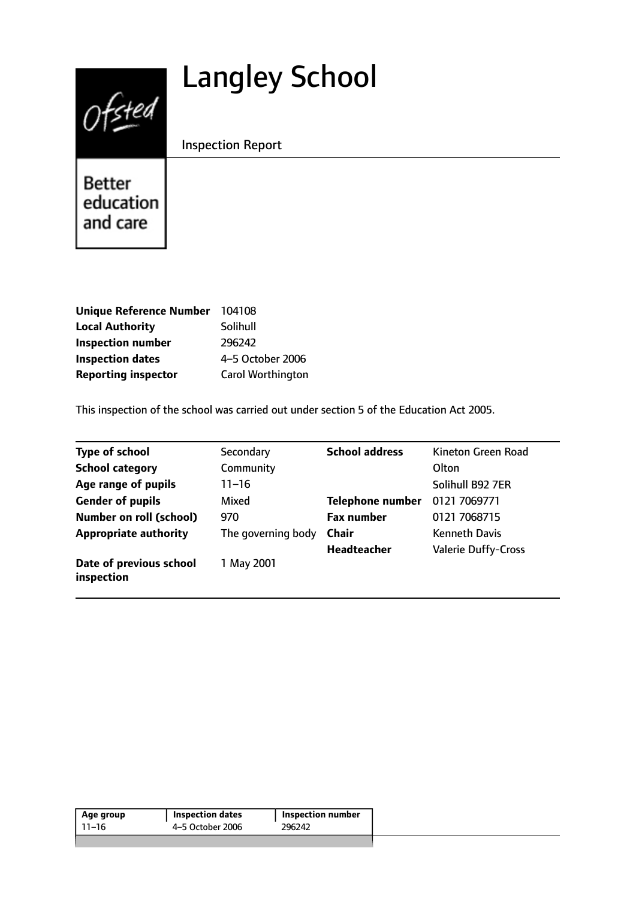# Langley School



Inspection Report

Better education and care

| Unique Reference Number 104108 |                          |
|--------------------------------|--------------------------|
| <b>Local Authority</b>         | Solihull                 |
| <b>Inspection number</b>       | 296242                   |
| <b>Inspection dates</b>        | 4-5 October 2006         |
| <b>Reporting inspector</b>     | <b>Carol Worthington</b> |

This inspection of the school was carried out under section 5 of the Education Act 2005.

| <b>Type of school</b>                 | Secondary          | <b>School address</b>   | Kineton Green Road         |
|---------------------------------------|--------------------|-------------------------|----------------------------|
| <b>School category</b>                | Community          |                         | Olton                      |
| Age range of pupils                   | 11–16              |                         | Solihull B92 7ER           |
| <b>Gender of pupils</b>               | Mixed              | <b>Telephone number</b> | 0121 7069771               |
| <b>Number on roll (school)</b>        | 970                | <b>Fax number</b>       | 0121 7068715               |
| <b>Appropriate authority</b>          | The governing body | <b>Chair</b>            | <b>Kenneth Davis</b>       |
|                                       |                    | <b>Headteacher</b>      | <b>Valerie Duffy-Cross</b> |
| Date of previous school<br>inspection | 1 May 2001         |                         |                            |

| Age group | <b>Inspection dates</b> | <b>Inspection number</b> |
|-----------|-------------------------|--------------------------|
| -11–16    | 4-5 October 2006        | 296242                   |
|           |                         |                          |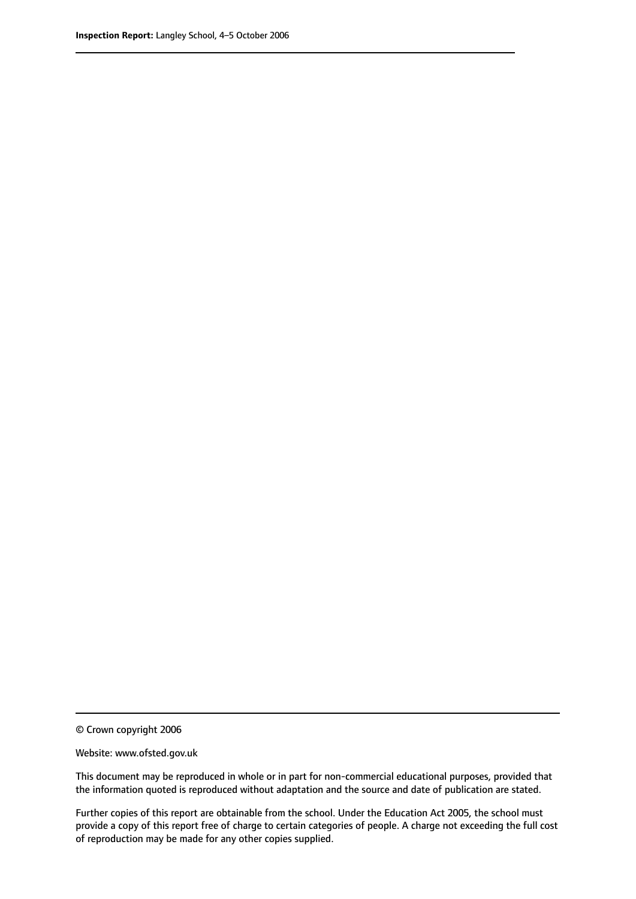© Crown copyright 2006

Website: www.ofsted.gov.uk

This document may be reproduced in whole or in part for non-commercial educational purposes, provided that the information quoted is reproduced without adaptation and the source and date of publication are stated.

Further copies of this report are obtainable from the school. Under the Education Act 2005, the school must provide a copy of this report free of charge to certain categories of people. A charge not exceeding the full cost of reproduction may be made for any other copies supplied.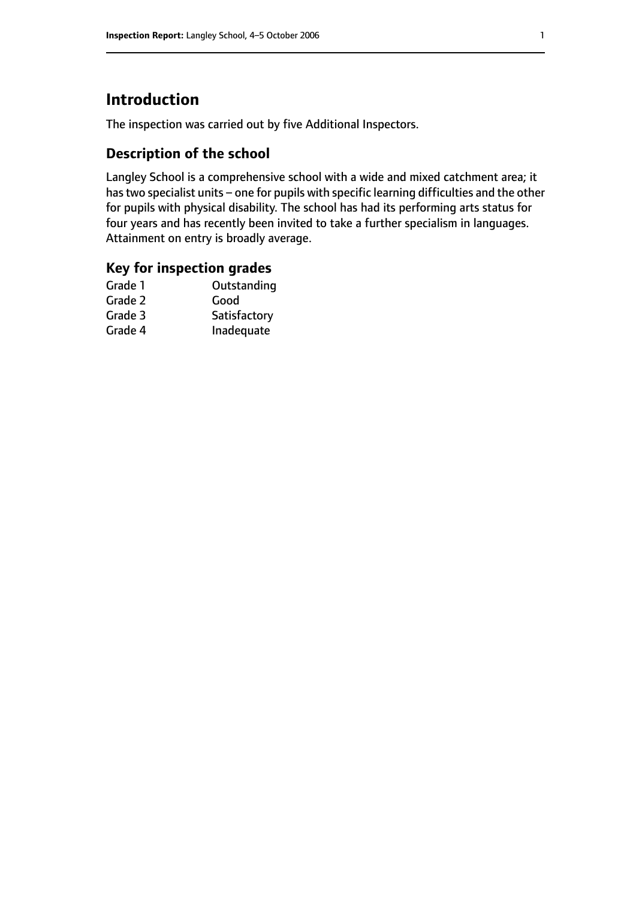# **Introduction**

The inspection was carried out by five Additional Inspectors.

## **Description of the school**

Langley School is a comprehensive school with a wide and mixed catchment area; it has two specialist units - one for pupils with specific learning difficulties and the other for pupils with physical disability. The school has had its performing arts status for four years and has recently been invited to take a further specialism in languages. Attainment on entry is broadly average.

### **Key for inspection grades**

| Good         |
|--------------|
|              |
| Satisfactory |
| Inadequate   |
|              |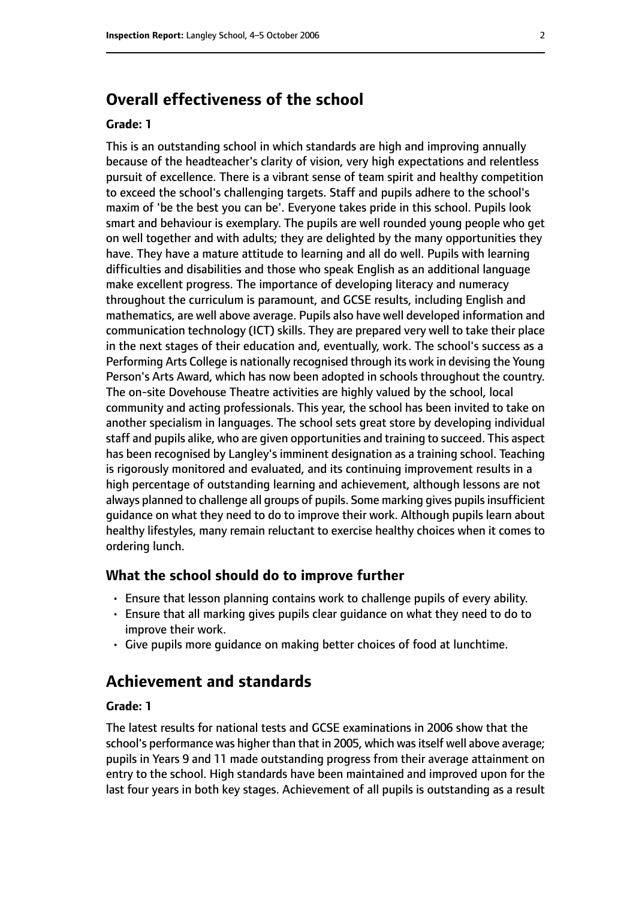# **Overall effectiveness of the school**

#### **Grade: 1**

This is an outstanding school in which standards are high and improving annually because of the headteacher's clarity of vision, very high expectations and relentless pursuit of excellence. There is a vibrant sense of team spirit and healthy competition to exceed the school's challenging targets. Staff and pupils adhere to the school's maxim of 'be the best you can be'. Everyone takes pride in this school. Pupils look smart and behaviour is exemplary. The pupils are well rounded young people who get on well together and with adults; they are delighted by the many opportunities they have. They have a mature attitude to learning and all do well. Pupils with learning difficulties and disabilities and those who speak English as an additional language make excellent progress. The importance of developing literacy and numeracy throughout the curriculum is paramount, and GCSE results, including English and mathematics, are well above average. Pupils also have well developed information and communication technology (ICT) skills. They are prepared very well to take their place in the next stages of their education and, eventually, work. The school's success as a Performing Arts College is nationally recognised through its work in devising the Young Person's Arts Award, which has now been adopted in schools throughout the country. The on-site Dovehouse Theatre activities are highly valued by the school, local community and acting professionals. This year, the school has been invited to take on another specialism in languages. The school sets great store by developing individual staff and pupils alike, who are given opportunities and training to succeed. This aspect has been recognised by Langley's imminent designation as a training school. Teaching is rigorously monitored and evaluated, and its continuing improvement results in a high percentage of outstanding learning and achievement, although lessons are not always planned to challenge all groups of pupils. Some marking gives pupils insufficient guidance on what they need to do to improve their work. Although pupils learn about healthy lifestyles, many remain reluctant to exercise healthy choices when it comes to ordering lunch.

#### **What the school should do to improve further**

- Ensure that lesson planning contains work to challenge pupils of every ability.
- Ensure that all marking gives pupils clear guidance on what they need to do to improve their work.
- Give pupils more guidance on making better choices of food at lunchtime.

# **Achievement and standards**

#### **Grade: 1**

The latest results for national tests and GCSE examinations in 2006 show that the school's performance was higher than that in 2005, which was itself well above average; pupils in Years 9 and 11 made outstanding progress from their average attainment on entry to the school. High standards have been maintained and improved upon for the last four years in both key stages. Achievement of all pupils is outstanding as a result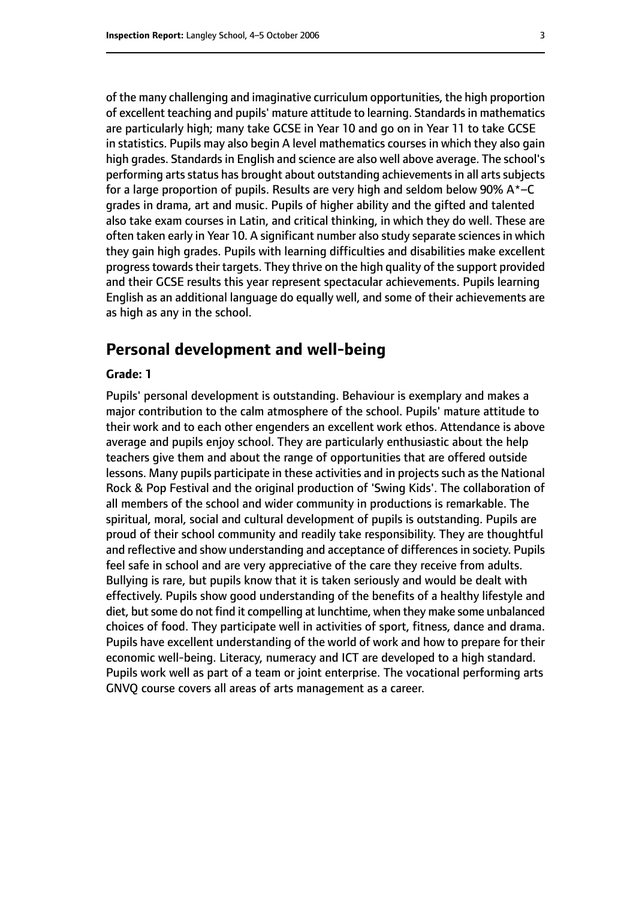of the many challenging and imaginative curriculum opportunities, the high proportion of excellent teaching and pupils' mature attitude to learning. Standardsin mathematics are particularly high; many take GCSE in Year 10 and go on in Year 11 to take GCSE in statistics. Pupils may also begin A level mathematics courses in which they also gain high grades. Standards in English and science are also well above average. The school's performing arts status has brought about outstanding achievements in all arts subjects for a large proportion of pupils. Results are very high and seldom below 90%  $A^*$ –C grades in drama, art and music. Pupils of higher ability and the gifted and talented also take exam courses in Latin, and critical thinking, in which they do well. These are often taken early in Year 10. A significant number also study separate sciencesin which they gain high grades. Pupils with learning difficulties and disabilities make excellent progress towards their targets. They thrive on the high quality of the support provided and their GCSE results this year represent spectacular achievements. Pupils learning English as an additional language do equally well, and some of their achievements are as high as any in the school.

# **Personal development and well-being**

#### **Grade: 1**

Pupils' personal development is outstanding. Behaviour is exemplary and makes a major contribution to the calm atmosphere of the school. Pupils' mature attitude to their work and to each other engenders an excellent work ethos. Attendance is above average and pupils enjoy school. They are particularly enthusiastic about the help teachers give them and about the range of opportunities that are offered outside lessons. Many pupils participate in these activities and in projects such as the National Rock & Pop Festival and the original production of 'Swing Kids'. The collaboration of all members of the school and wider community in productions is remarkable. The spiritual, moral, social and cultural development of pupils is outstanding. Pupils are proud of their school community and readily take responsibility. They are thoughtful and reflective and show understanding and acceptance of differences in society. Pupils feel safe in school and are very appreciative of the care they receive from adults. Bullying is rare, but pupils know that it is taken seriously and would be dealt with effectively. Pupils show good understanding of the benefits of a healthy lifestyle and diet, but some do not find it compelling at lunchtime, when they make some unbalanced choices of food. They participate well in activities of sport, fitness, dance and drama. Pupils have excellent understanding of the world of work and how to prepare for their economic well-being. Literacy, numeracy and ICT are developed to a high standard. Pupils work well as part of a team or joint enterprise. The vocational performing arts GNVQ course covers all areas of arts management as a career.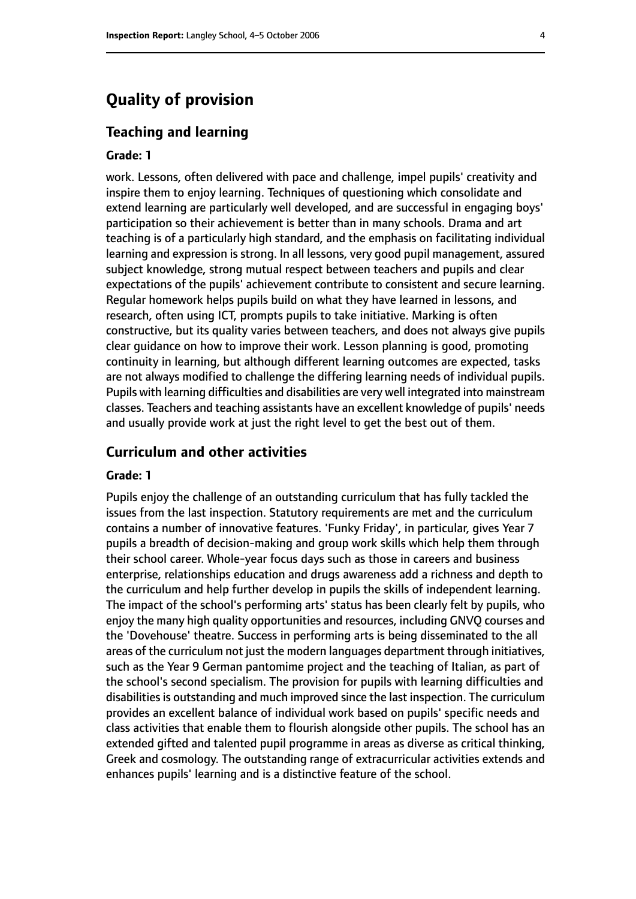# **Quality of provision**

#### **Teaching and learning**

#### **Grade: 1**

work. Lessons, often delivered with pace and challenge, impel pupils' creativity and inspire them to enjoy learning. Techniques of questioning which consolidate and extend learning are particularly well developed, and are successful in engaging boys' participation so their achievement is better than in many schools. Drama and art teaching is of a particularly high standard, and the emphasis on facilitating individual learning and expression is strong. In all lessons, very good pupil management, assured subject knowledge, strong mutual respect between teachers and pupils and clear expectations of the pupils' achievement contribute to consistent and secure learning. Regular homework helps pupils build on what they have learned in lessons, and research, often using ICT, prompts pupils to take initiative. Marking is often constructive, but its quality varies between teachers, and does not always give pupils clear guidance on how to improve their work. Lesson planning is good, promoting continuity in learning, but although different learning outcomes are expected, tasks are not always modified to challenge the differing learning needs of individual pupils. Pupils with learning difficulties and disabilities are very well integrated into mainstream classes. Teachers and teaching assistants have an excellent knowledge of pupils' needs and usually provide work at just the right level to get the best out of them.

#### **Curriculum and other activities**

#### **Grade: 1**

Pupils enjoy the challenge of an outstanding curriculum that has fully tackled the issues from the last inspection. Statutory requirements are met and the curriculum contains a number of innovative features. 'Funky Friday', in particular, gives Year 7 pupils a breadth of decision-making and group work skills which help them through their school career. Whole-year focus days such as those in careers and business enterprise, relationships education and drugs awareness add a richness and depth to the curriculum and help further develop in pupils the skills of independent learning. The impact of the school's performing arts' status has been clearly felt by pupils, who enjoy the many high quality opportunities and resources, including GNVQ courses and the 'Dovehouse' theatre. Success in performing arts is being disseminated to the all areas of the curriculum not just the modern languages department through initiatives, such as the Year 9 German pantomime project and the teaching of Italian, as part of the school's second specialism. The provision for pupils with learning difficulties and disabilities is outstanding and much improved since the last inspection. The curriculum provides an excellent balance of individual work based on pupils' specific needs and class activities that enable them to flourish alongside other pupils. The school has an extended gifted and talented pupil programme in areas as diverse as critical thinking, Greek and cosmology. The outstanding range of extracurricular activities extends and enhances pupils' learning and is a distinctive feature of the school.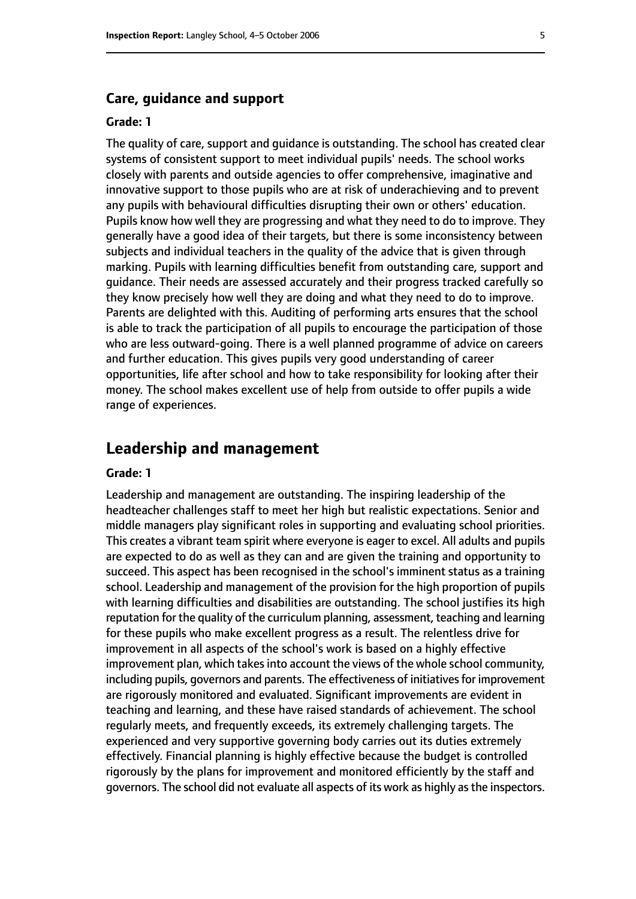#### **Care, guidance and support**

#### **Grade: 1**

The quality of care, support and guidance is outstanding. The school has created clear systems of consistent support to meet individual pupils' needs. The school works closely with parents and outside agencies to offer comprehensive, imaginative and innovative support to those pupils who are at risk of underachieving and to prevent any pupils with behavioural difficulties disrupting their own or others' education. Pupils know how well they are progressing and what they need to do to improve. They generally have a good idea of their targets, but there is some inconsistency between subjects and individual teachers in the quality of the advice that is given through marking. Pupils with learning difficulties benefit from outstanding care, support and guidance. Their needs are assessed accurately and their progress tracked carefully so they know precisely how well they are doing and what they need to do to improve. Parents are delighted with this. Auditing of performing arts ensures that the school is able to track the participation of all pupils to encourage the participation of those who are less outward-going. There is a well planned programme of advice on careers and further education. This gives pupils very good understanding of career opportunities, life after school and how to take responsibility for looking after their money. The school makes excellent use of help from outside to offer pupils a wide range of experiences.

## **Leadership and management**

#### **Grade: 1**

Leadership and management are outstanding. The inspiring leadership of the headteacher challenges staff to meet her high but realistic expectations. Senior and middle managers play significant roles in supporting and evaluating school priorities. This creates a vibrant team spirit where everyone is eager to excel. All adults and pupils are expected to do as well as they can and are given the training and opportunity to succeed. This aspect has been recognised in the school's imminent status as a training school. Leadership and management of the provision for the high proportion of pupils with learning difficulties and disabilities are outstanding. The school justifies its high reputation for the quality of the curriculum planning, assessment, teaching and learning for these pupils who make excellent progress as a result. The relentless drive for improvement in all aspects of the school's work is based on a highly effective improvement plan, which takes into account the views of the whole school community, including pupils, governors and parents. The effectiveness of initiatives for improvement are rigorously monitored and evaluated. Significant improvements are evident in teaching and learning, and these have raised standards of achievement. The school regularly meets, and frequently exceeds, its extremely challenging targets. The experienced and very supportive governing body carries out its duties extremely effectively. Financial planning is highly effective because the budget is controlled rigorously by the plans for improvement and monitored efficiently by the staff and governors. The school did not evaluate all aspects of its work as highly asthe inspectors.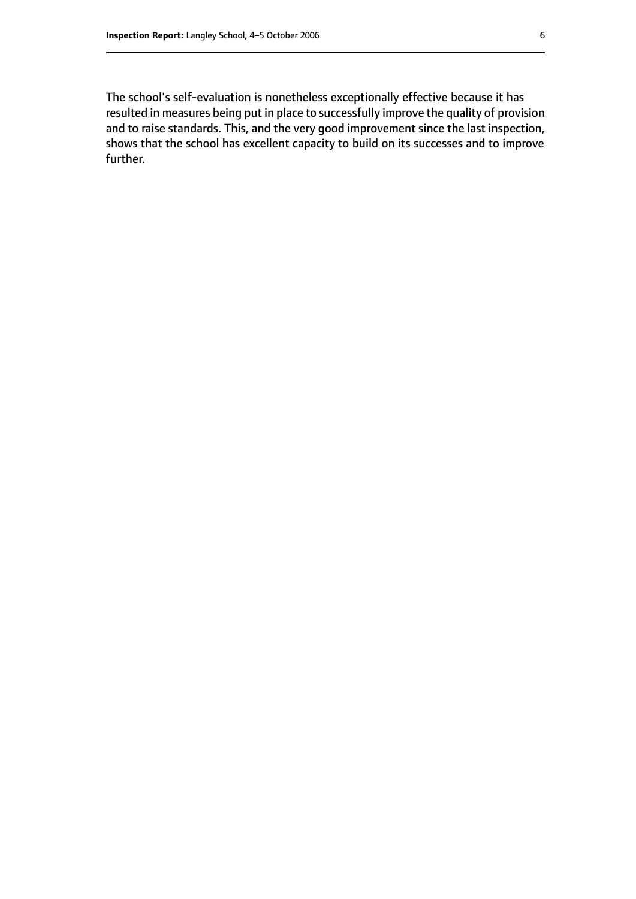The school's self-evaluation is nonetheless exceptionally effective because it has resulted in measures being put in place to successfully improve the quality of provision and to raise standards. This, and the very good improvement since the last inspection, shows that the school has excellent capacity to build on its successes and to improve further.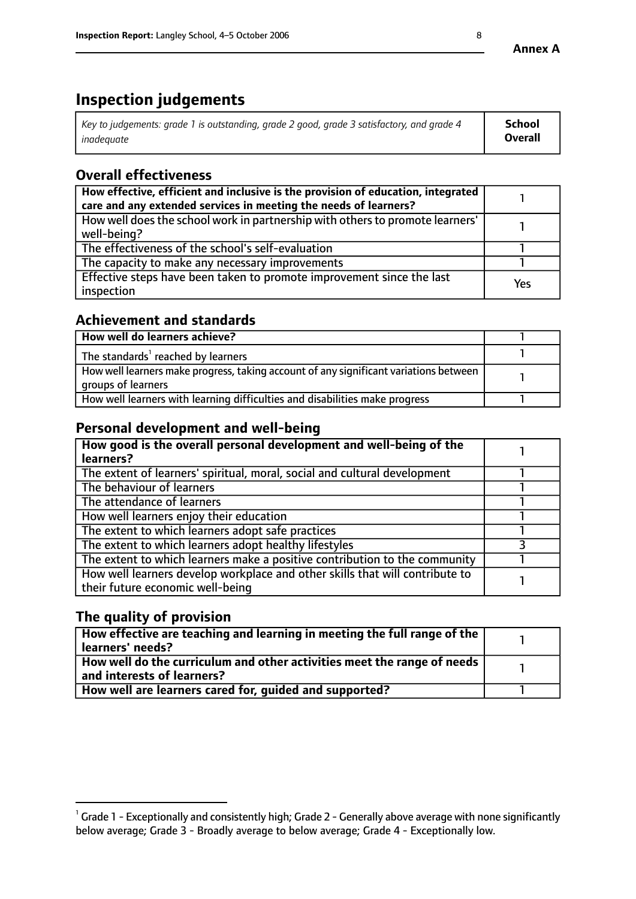# **Inspection judgements**

| $^\dagger$ Key to judgements: grade 1 is outstanding, grade 2 good, grade 3 satisfactory, and grade 4 | <b>School</b>  |
|-------------------------------------------------------------------------------------------------------|----------------|
| inadeauate                                                                                            | <b>Overall</b> |

# **Overall effectiveness**

| How effective, efficient and inclusive is the provision of education, integrated<br>care and any extended services in meeting the needs of learners? |     |
|------------------------------------------------------------------------------------------------------------------------------------------------------|-----|
| How well does the school work in partnership with others to promote learners'<br>well-being?                                                         |     |
| The effectiveness of the school's self-evaluation                                                                                                    |     |
| The capacity to make any necessary improvements                                                                                                      |     |
| Effective steps have been taken to promote improvement since the last<br>inspection                                                                  | Yes |

## **Achievement and standards**

| How well do learners achieve?                                                                               |  |
|-------------------------------------------------------------------------------------------------------------|--|
| The standards <sup>1</sup> reached by learners                                                              |  |
| How well learners make progress, taking account of any significant variations between<br>groups of learners |  |
| How well learners with learning difficulties and disabilities make progress                                 |  |

# **Personal development and well-being**

| How good is the overall personal development and well-being of the<br>learners?                                  |  |
|------------------------------------------------------------------------------------------------------------------|--|
| The extent of learners' spiritual, moral, social and cultural development                                        |  |
| The behaviour of learners                                                                                        |  |
| The attendance of learners                                                                                       |  |
| How well learners enjoy their education                                                                          |  |
| The extent to which learners adopt safe practices                                                                |  |
| The extent to which learners adopt healthy lifestyles                                                            |  |
| The extent to which learners make a positive contribution to the community                                       |  |
| How well learners develop workplace and other skills that will contribute to<br>their future economic well-being |  |

# **The quality of provision**

| How effective are teaching and learning in meeting the full range of the<br>learners' needs?          |  |
|-------------------------------------------------------------------------------------------------------|--|
| How well do the curriculum and other activities meet the range of needs<br>and interests of learners? |  |
| How well are learners cared for, guided and supported?                                                |  |

 $^1$  Grade 1 - Exceptionally and consistently high; Grade 2 - Generally above average with none significantly below average; Grade 3 - Broadly average to below average; Grade 4 - Exceptionally low.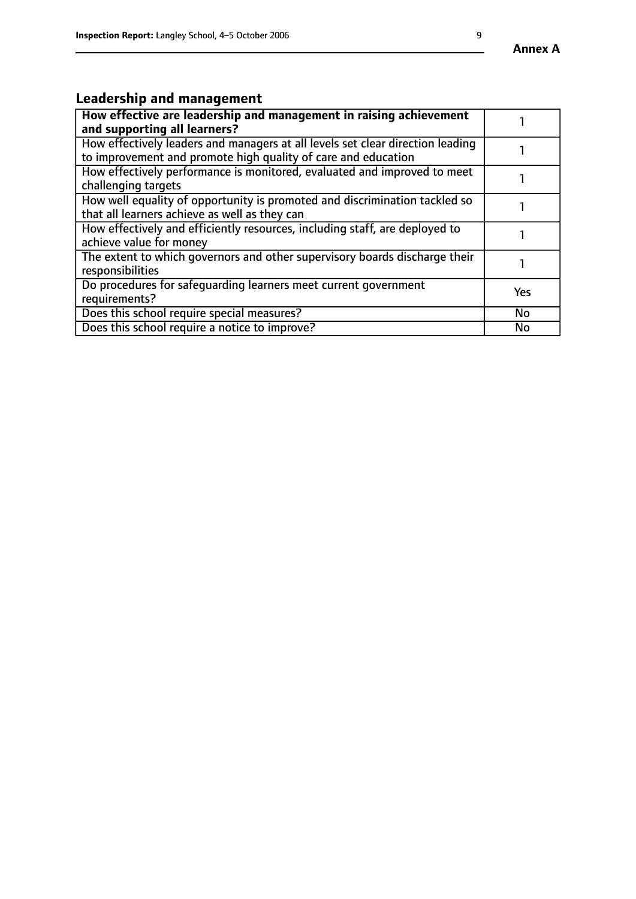# **Leadership and management**

| How effective are leadership and management in raising achievement<br>and supporting all learners?                                              |     |
|-------------------------------------------------------------------------------------------------------------------------------------------------|-----|
| How effectively leaders and managers at all levels set clear direction leading<br>to improvement and promote high quality of care and education |     |
| How effectively performance is monitored, evaluated and improved to meet<br>challenging targets                                                 |     |
| How well equality of opportunity is promoted and discrimination tackled so<br>that all learners achieve as well as they can                     |     |
| How effectively and efficiently resources, including staff, are deployed to<br>achieve value for money                                          |     |
| The extent to which governors and other supervisory boards discharge their<br>responsibilities                                                  |     |
| Do procedures for safequarding learners meet current government<br>requirements?                                                                | Yes |
| Does this school require special measures?                                                                                                      | No  |
| Does this school require a notice to improve?                                                                                                   | No  |